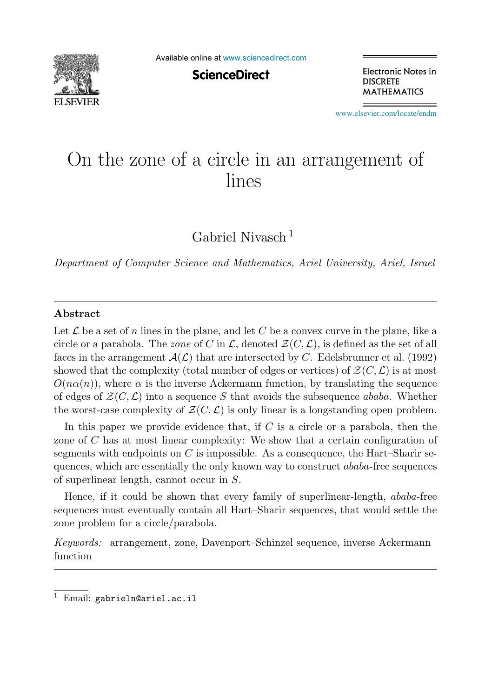

Available online at [www.sciencedirect.com](http://www.sciencedirect.com)

**ScienceDirect** 

Electronic Notes in **DISCRETE MATHEMATICS** 

[www.elsevier.com/locate/endm](http://www.elsevier.com/locate/endm)

# On the zone of a circle in an arrangement of

Gabriel Nivasch <sup>1</sup>

*Department of Computer Science and Mathematics, Ariel University, Ariel, Israel*

#### **Abstract**

Let  $\mathcal L$  be a set of n lines in the plane, and let C be a convex curve in the plane, like a circle or a parabola. The *zone* of C in  $\mathcal{L}$ , denoted  $\mathcal{Z}(C,\mathcal{L})$ , is defined as the set of all faces in the arrangement  $\mathcal{A}(\mathcal{L})$  that are intersected by C. Edelsbrunner et al. (1992) showed that the complexity (total number of edges or vertices) of  $\mathcal{Z}(C,\mathcal{L})$  is at most  $O(n\alpha(n))$ , where  $\alpha$  is the inverse Ackermann function, by translating the sequence of edges of  $\mathcal{Z}(C,\mathcal{L})$  into a sequence S that avoids the subsequence ababa. Whether the worst-case complexity of  $\mathcal{Z}(C,\mathcal{L})$  is only linear is a longstanding open problem.

In this paper we provide evidence that, if  $C$  is a circle or a parabola, then the zone of C has at most linear complexity: We show that a certain configuration of segments with endpoints on  $C$  is impossible. As a consequence, the Hart–Sharir sequences, which are essentially the only known way to construct ababa-free sequences of superlinear length, cannot occur in S.

Hence, if it could be shown that every family of superlinear-length, ababa-free sequences must eventually contain all Hart–Sharir sequences, that would settle the zone problem for a circle/parabola.

*Keywords:* arrangement, zone, Davenport–Schinzel sequence, inverse Ackermann function

 $1$  Email: gabrieln@ariel.ac.il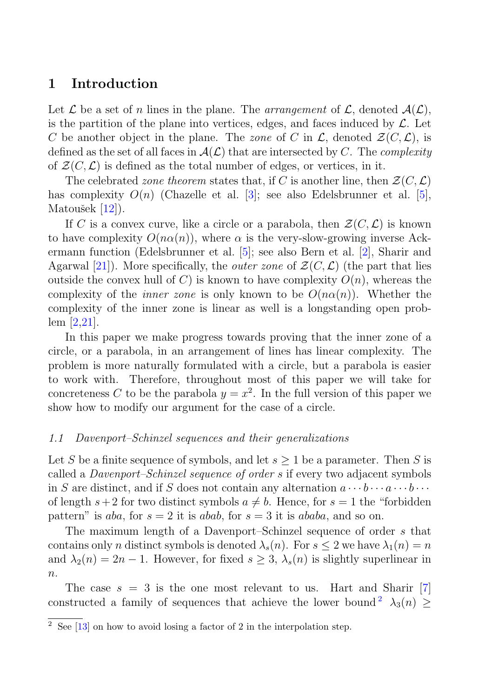## **1 Introduction**

Let  $\mathcal L$  be a set of n lines in the plane. The arrangement of  $\mathcal L$ , denoted  $\mathcal A(\mathcal L)$ , is the partition of the plane into vertices, edges, and faces induced by  $\mathcal{L}$ . Let C be another object in the plane. The zone of C in  $\mathcal{L}$ , denoted  $\mathcal{Z}(C,\mathcal{L})$ , is defined as the set of all faces in  $\mathcal{A}(\mathcal{L})$  that are intersected by C. The *complexity* of  $\mathcal{Z}(C,\mathcal{L})$  is defined as the total number of edges, or vertices, in it.

The celebrated zone theorem states that, if C is another line, then  $\mathcal{Z}(C,\mathcal{L})$ has complexity  $O(n)$  (Chazelle et al. [3]; see also Edelsbrunner et al. [5], Matoušek  $[12]$ ).

If C is a convex curve, like a circle or a parabola, then  $\mathcal{Z}(C,\mathcal{L})$  is known to have complexity  $O(n\alpha(n))$ , where  $\alpha$  is the very-slow-growing inverse Ackermann function (Edelsbrunner et al. [5]; see also Bern et al. [2], Sharir and Agarwal [21]). More specifically, the *outer zone* of  $\mathcal{Z}(C,\mathcal{L})$  (the part that lies outside the convex hull of C) is known to have complexity  $O(n)$ , whereas the complexity of the *inner zone* is only known to be  $O(n\alpha(n))$ . Whether the complexity of the inner zone is linear as well is a longstanding open problem [2,21].

In this paper we make progress towards proving that the inner zone of a circle, or a parabola, in an arrangement of lines has linear complexity. The problem is more naturally formulated with a circle, but a parabola is easier to work with. Therefore, throughout most of this paper we will take for concreteness C to be the parabola  $y = x^2$ . In the full version of this paper we show how to modify our argument for the case of a circle.

#### 1.1 Davenport–Schinzel sequences and their generalizations

Let S be a finite sequence of symbols, and let  $s \geq 1$  be a parameter. Then S is called a Davenport–Schinzel sequence of order s if every two adjacent symbols in S are distinct, and if S does not contain any alternation  $a \cdots b \cdots a \cdots b \cdots$ of length  $s+2$  for two distinct symbols  $a \neq b$ . Hence, for  $s = 1$  the "forbidden" pattern" is aba, for  $s = 2$  it is abab, for  $s = 3$  it is ababa, and so on.

The maximum length of a Davenport–Schinzel sequence of order s that contains only n distinct symbols is denoted  $\lambda_s(n)$ . For  $s \leq 2$  we have  $\lambda_1(n) = n$ and  $\lambda_2(n)=2n-1$ . However, for fixed  $s \geq 3$ ,  $\lambda_s(n)$  is slightly superlinear in  $n$ .

The case  $s = 3$  is the one most relevant to us. Hart and Sharir [7] constructed a family of sequences that achieve the lower bound<sup>2</sup>  $\lambda_3(n) \geq$ 

 $\frac{2}{\sqrt{2}}$  See [13] on how to avoid losing a factor of 2 in the interpolation step.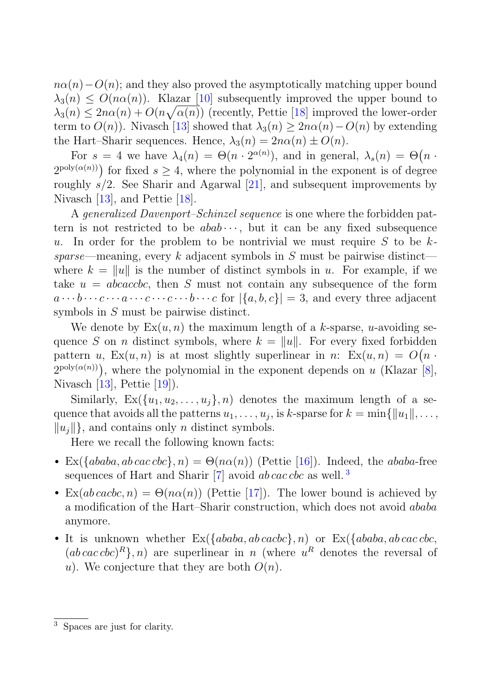$n\alpha(n)-O(n)$ ; and they also proved the asymptotically matching upper bound  $\lambda_3(n) \leq O(n\alpha(n))$ . Klazar [10] subsequently improved the upper bound to  $\lambda_3(n) \leq 2n\alpha(n) + O(n\sqrt{\alpha(n)})$  (recently, Pettie [18] improved the lower-order term to  $O(n)$ ). Nivasch [13] showed that  $\lambda_3(n) \geq 2n\alpha(n)-O(n)$  by extending the Hart–Sharir sequences. Hence,  $\lambda_3(n)=2n\alpha(n) \pm O(n)$ .

For  $s = 4$  we have  $\lambda_4(n) = \Theta(n \cdot 2^{\alpha(n)})$ , and in general,  $\lambda_s(n) = \Theta(n \cdot 2^{\alpha(n)})$  $2^{\text{poly}(\alpha(n))}$  for fixed  $s \geq 4$ , where the polynomial in the exponent is of degree roughly  $s/2$ . See Sharir and Agarwal [21], and subsequent improvements by Nivasch [13], and Pettie [18].

A generalized Davenport–Schinzel sequence is one where the forbidden pattern is not restricted to be  $abab \cdots$ , but it can be any fixed subsequence u. In order for the problem to be nontrivial we must require S to be  $k$ sparse—meaning, every k adjacent symbols in  $S$  must be pairwise distinct where  $k = ||u||$  is the number of distinct symbols in u. For example, if we take  $u = abcacbc$ , then S must not contain any subsequence of the form  $a \cdots b \cdots c \cdots a \cdots c \cdots b \cdots c$  for  $|\{a, b, c\}| = 3$ , and every three adjacent symbols in S must be pairwise distinct.

We denote by  $Ex(u, n)$  the maximum length of a k-sparse, u-avoiding sequence S on n distinct symbols, where  $k = ||u||$ . For every fixed forbidden pattern u,  $Ex(u, n)$  is at most slightly superlinear in n:  $Ex(u, n) = O(n \cdot$  $2^{\text{poly}(\alpha(n))}$ , where the polynomial in the exponent depends on u (Klazar [8], Nivasch [13], Pettie [19]).

Similarly,  $Ex(\lbrace u_1, u_2, \ldots, u_i \rbrace, n)$  denotes the maximum length of a sequence that avoids all the patterns  $u_1, \ldots, u_j$ , is k-sparse for  $k = \min\{||u_1||, \ldots,$  $||u_i||$ , and contains only *n* distinct symbols.

Here we recall the following known facts:

- Ex( $\{ababa, ab\, cabc\}, n) = \Theta(n\alpha(n))$  (Pettie [16]). Indeed, the ababa-free sequences of Hart and Sharir  $[7]$  avoid ab cac cbc as well.<sup>3</sup>
- Ex(ab cacbc, n) =  $\Theta(n\alpha(n))$  (Pettie [17]). The lower bound is achieved by a modification of the Hart–Sharir construction, which does not avoid ababa anymore.
- It is unknown whether  $Ex({ababa, ab\,cache}, n)$  or  $Ex({ababa, ab\, cac\, cbc},$  $(ab \, cac \, cbc)^R$ , n) are superlinear in n (where  $u^R$  denotes the reversal of u). We conjecture that they are both  $O(n)$ .

<sup>3</sup> Spaces are just for clarity.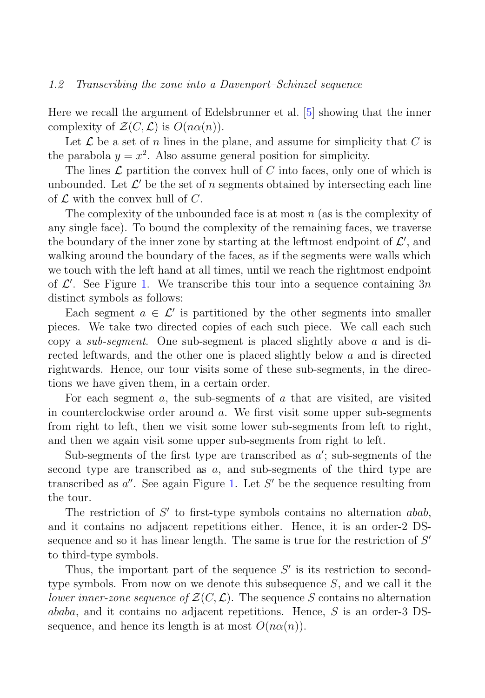#### 1.2 Transcribing the zone into a Davenport–Schinzel sequence

Here we recall the argument of Edelsbrunner et al. [5] showing that the inner complexity of  $\mathcal{Z}(C,\mathcal{L})$  is  $O(n\alpha(n))$ .

Let  $\mathcal L$  be a set of n lines in the plane, and assume for simplicity that C is the parabola  $y = x^2$ . Also assume general position for simplicity.

The lines  $\mathcal L$  partition the convex hull of C into faces, only one of which is unbounded. Let  $\mathcal{L}'$  be the set of n segments obtained by intersecting each line of  $\mathcal L$  with the convex hull of  $C$ .

The complexity of the unbounded face is at most  $n$  (as is the complexity of any single face). To bound the complexity of the remaining faces, we traverse the boundary of the inner zone by starting at the leftmost endpoint of  $\mathcal{L}'$ , and walking around the boundary of the faces, as if the segments were walls which we touch with the left hand at all times, until we reach the rightmost endpoint of  $\mathcal{L}'$ . See Figure 1. We transcribe this tour into a sequence containing 3n distinct symbols as follows:

Each segment  $a \in \mathcal{L}'$  is partitioned by the other segments into smaller pieces. We take two directed copies of each such piece. We call each such copy a *sub-segment*. One sub-segment is placed slightly above a and is directed leftwards, and the other one is placed slightly below a and is directed rightwards. Hence, our tour visits some of these sub-segments, in the directions we have given them, in a certain order.

For each segment  $a$ , the sub-segments of  $a$  that are visited, are visited in counterclockwise order around  $a$ . We first visit some upper sub-segments from right to left, then we visit some lower sub-segments from left to right, and then we again visit some upper sub-segments from right to left.

Sub-segments of the first type are transcribed as  $a'$ ; sub-segments of the second type are transcribed as a, and sub-segments of the third type are transcribed as  $a''$ . See again Figure 1. Let S' be the sequence resulting from the tour.

The restriction of  $S'$  to first-type symbols contains no alternation abab, and it contains no adjacent repetitions either. Hence, it is an order-2 DSsequence and so it has linear length. The same is true for the restriction of  $S'$ to third-type symbols.

Thus, the important part of the sequence  $S'$  is its restriction to secondtype symbols. From now on we denote this subsequence  $S$ , and we call it the lower inner-zone sequence of  $\mathcal{Z}(C,\mathcal{L})$ . The sequence S contains no alternation ababa, and it contains no adjacent repetitions. Hence, S is an order-3 DSsequence, and hence its length is at most  $O(n\alpha(n))$ .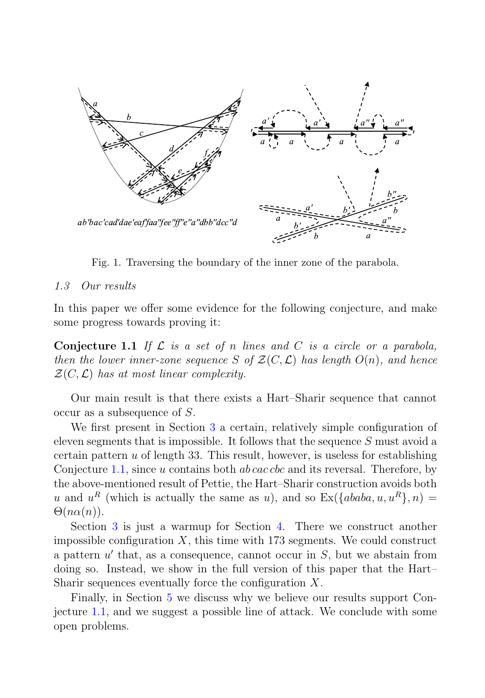

Fig. 1. Traversing the boundary of the inner zone of the parabola.

#### 1.3 Our results

In this paper we offer some evidence for the following conjecture, and make some progress towards proving it:

**Conjecture 1.1** If  $\mathcal L$  is a set of n lines and C is a circle or a parabola, then the lower inner-zone sequence S of  $\mathcal{Z}(C, \mathcal{L})$  has length  $O(n)$ , and hence  $\mathcal{Z}(C,\mathcal{L})$  has at most linear complexity.

Our main result is that there exists a Hart–Sharir sequence that cannot occur as a subsequence of S.

We first present in Section 3 a certain, relatively simple configuration of eleven segments that is impossible. It follows that the sequence S must avoid a certain pattern  $u$  of length 33. This result, however, is useless for establishing Conjecture 1.1, since u contains both  $ab \, cac \, cbc$  and its reversal. Therefore, by the above-mentioned result of Pettie, the Hart–Sharir construction avoids both u and  $u^R$  (which is actually the same as u), and so  $\text{Ex}(\{ababa, u, u^R\}, n) =$  $\Theta(n\alpha(n)).$ 

Section 3 is just a warmup for Section 4. There we construct another impossible configuration  $X$ , this time with 173 segments. We could construct a pattern  $u'$  that, as a consequence, cannot occur in  $S$ , but we abstain from doing so. Instead, we show in the full version of this paper that the Hart– Sharir sequences eventually force the configuration X.

Finally, in Section 5 we discuss why we believe our results support Conjecture 1.1, and we suggest a possible line of attack. We conclude with some open problems.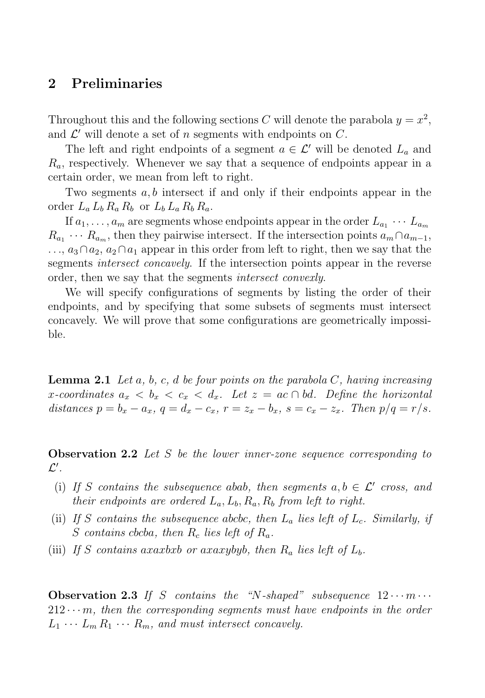## **2 Preliminaries**

Throughout this and the following sections C will denote the parabola  $y = x^2$ , and  $\mathcal{L}'$  will denote a set of n segments with endpoints on C.

The left and right endpoints of a segment  $a \in \mathcal{L}'$  will be denoted  $L_a$  and  $R_a$ , respectively. Whenever we say that a sequence of endpoints appear in a certain order, we mean from left to right.

Two segments  $a, b$  intersect if and only if their endpoints appear in the order  $L_a L_b R_a R_b$  or  $L_b L_a R_b R_a$ .

If  $a_1, \ldots, a_m$  are segments whose endpoints appear in the order  $L_{a_1} \cdots L_{a_m}$  $R_{a_1} \cdots R_{a_m}$ , then they pairwise intersect. If the intersection points  $a_m \cap a_{m-1}$ , ...,  $a_3 ∩ a_2, a_2 ∩ a_1$  appear in this order from left to right, then we say that the segments intersect concavely. If the intersection points appear in the reverse order, then we say that the segments *intersect convexly*.

We will specify configurations of segments by listing the order of their endpoints, and by specifying that some subsets of segments must intersect concavely. We will prove that some configurations are geometrically impossible.

**Lemma 2.1** Let a, b, c, d be four points on the parabola  $C$ , having increasing x-coordinates  $a_x < b_x < c_x < d_x$ . Let  $z = ac \cap bd$ . Define the horizontal distances  $p = b_x - a_x$ ,  $q = d_x - c_x$ ,  $r = z_x - b_x$ ,  $s = c_x - z_x$ . Then  $p/q = r/s$ .

**Observation 2.2** Let S be the lower inner-zone sequence corresponding to  $\mathcal{L}'$  .

- (i) If S contains the subsequence abab, then segments  $a, b \in \mathcal{L}'$  cross, and their endpoints are ordered  $L_a$ ,  $L_b$ ,  $R_a$ ,  $R_b$  from left to right.
- (ii) If S contains the subsequence abcbc, then  $L_a$  lies left of  $L_c$ . Similarly, if S contains cbcba, then  $R_c$  lies left of  $R_a$ .
- (iii) If S contains axaxbxb or axaxybyb, then  $R_a$  lies left of  $L_b$ .

**Observation 2.3** If S contains the "N-shaped" subsequence  $12 \cdots m \cdots$  $212 \cdots m$ , then the corresponding segments must have endpoints in the order  $L_1 \cdots L_m R_1 \cdots R_m$ , and must intersect concavely.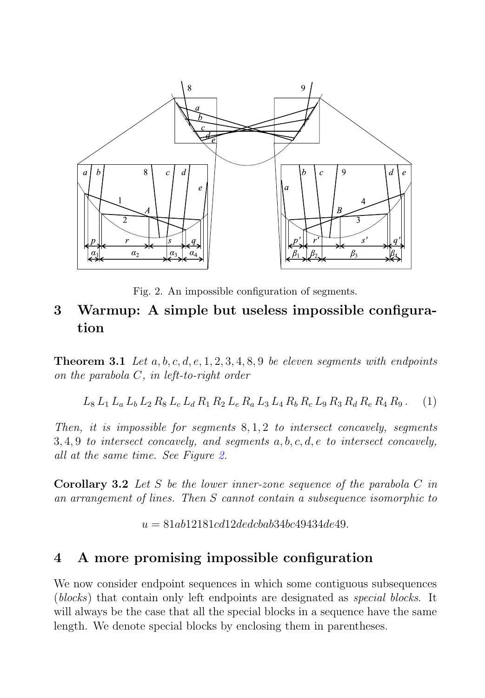

Fig. 2. An impossible configuration of segments.

## **3 Warmup: A simple but useless impossible configuration**

**Theorem 3.1** Let  $a, b, c, d, e, 1, 2, 3, 4, 8, 9$  be eleven segments with endpoints on the parabola C, in left-to-right order

 $L_8 L_1 L_a L_b L_2 R_8 L_c L_d R_1 R_2 L_e R_a L_3 L_4 R_b R_c L_9 R_3 R_d R_e R_4 R_9.$  (1)

Then, it is impossible for segments  $8, 1, 2$  to intersect concavely, segments  $3, 4, 9$  to intersect concavely, and segments a, b, c, d, e to intersect concavely, all at the same time. See Figure 2.

**Corollary 3.2** Let S be the lower inner-zone sequence of the parabola C in an arrangement of lines. Then S cannot contain a subsequence isomorphic to

 $u = 81ab12181cd12dedcbab34bc49434de49.$ 

## **4 A more promising impossible configuration**

We now consider endpoint sequences in which some contiguous subsequences (blocks) that contain only left endpoints are designated as special blocks. It will always be the case that all the special blocks in a sequence have the same length. We denote special blocks by enclosing them in parentheses.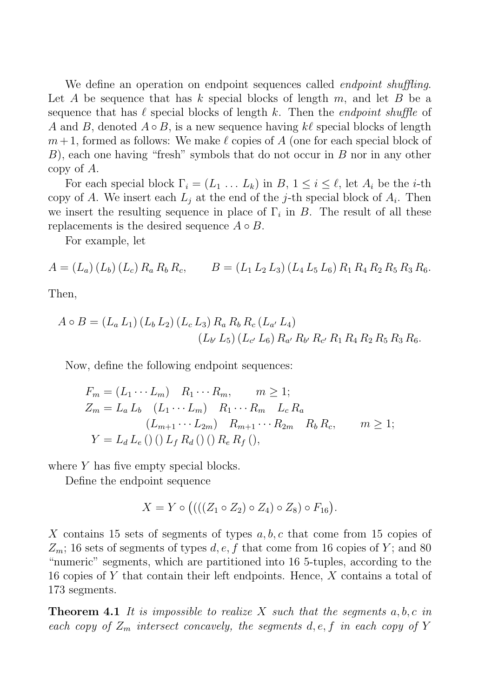We define an operation on endpoint sequences called *endpoint shuffling*. Let A be sequence that has k special blocks of length m, and let B be a sequence that has  $\ell$  special blocks of length k. Then the *endpoint shuffle* of A and B, denoted  $A \circ B$ , is a new sequence having kl special blocks of length  $m+1$ , formed as follows: We make  $\ell$  copies of A (one for each special block of  $B$ ), each one having "fresh" symbols that do not occur in  $B$  nor in any other copy of A.

For each special block  $\Gamma_i = (L_1 \ldots L_k)$  in  $B, 1 \leq i \leq \ell$ , let  $A_i$  be the *i*-th copy of A. We insert each  $L_i$  at the end of the j-th special block of  $A_i$ . Then we insert the resulting sequence in place of  $\Gamma_i$  in B. The result of all these replacements is the desired sequence  $A \circ B$ .

For example, let

$$
A = (L_a) (L_b) (L_c) R_a R_b R_c, \qquad B = (L_1 L_2 L_3) (L_4 L_5 L_6) R_1 R_4 R_2 R_5 R_3 R_6.
$$

Then,

$$
A \circ B = (L_a L_1) (L_b L_2) (L_c L_3) R_a R_b R_c (L_{a'} L_4)
$$
  

$$
(L_{b'} L_5) (L_{c'} L_6) R_{a'} R_{b'} R_{c'} R_1 R_4 R_2 R_5 R_3 R_6.
$$

Now, define the following endpoint sequences:

$$
F_m = (L_1 \cdots L_m) \quad R_1 \cdots R_m, \qquad m \ge 1;
$$
  
\n
$$
Z_m = L_a L_b \quad (L_1 \cdots L_m) \quad R_1 \cdots R_m \quad L_c R_a
$$
  
\n
$$
(L_{m+1} \cdots L_{2m}) \quad R_{m+1} \cdots R_{2m} \quad R_b R_c, \qquad m \ge 1;
$$
  
\n
$$
Y = L_d L_e \left( ) \left( \right) L_f R_d \left( \right) \left( \right) R_e R_f \left( \right) ,
$$

where Y has five empty special blocks.

Define the endpoint sequence

$$
X = Y \circ ((( (Z_1 \circ Z_2) \circ Z_4) \circ Z_8) \circ F_{16}).
$$

X contains 15 sets of segments of types  $a, b, c$  that come from 15 copies of  $Z_m$ ; 16 sets of segments of types d, e, f that come from 16 copies of Y; and 80 "numeric" segments, which are partitioned into 16 5-tuples, according to the 16 copies of Y that contain their left endpoints. Hence, X contains a total of 173 segments.

**Theorem 4.1** It is impossible to realize X such that the segments  $a, b, c$  in each copy of  $Z_m$  intersect concavely, the segments  $d, e, f$  in each copy of Y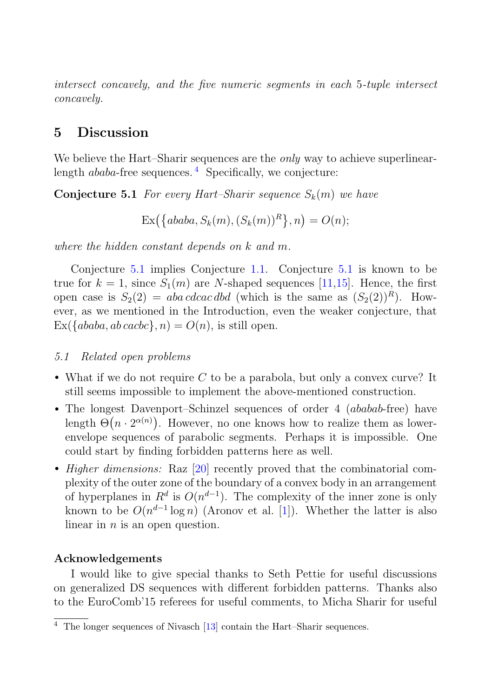intersect concavely, and the five numeric segments in each 5-tuple intersect concavely.

## **5 Discussion**

We believe the Hart–Sharir sequences are the *only* way to achieve superlinearlength  $ababa$ -free sequences.  $4$  Specifically, we conjecture:

**Conjecture 5.1** For every Hart–Sharir sequence  $S_k(m)$  we have

$$
Ex(\{ababa, S_k(m), (S_k(m))^R\}, n) = O(n);
$$

where the hidden constant depends on k and m.

Conjecture 5.1 implies Conjecture 1.1. Conjecture 5.1 is known to be true for  $k = 1$ , since  $S_1(m)$  are N-shaped sequences [11,15]. Hence, the first open case is  $S_2(2) = aba \, cd \, ca \, dbd$  (which is the same as  $(S_2(2))^R$ ). However, as we mentioned in the Introduction, even the weaker conjecture, that  $\text{Ex}(\{ababa, ab\,, n) = O(n)$ , is still open.

#### 5.1 Related open problems

- What if we do not require  $C$  to be a parabola, but only a convex curve? It still seems impossible to implement the above-mentioned construction.
- The longest Davenport–Schinzel sequences of order 4 *(ababab*-free) have length  $\Theta(n \cdot 2^{\alpha(n)})$ . However, no one knows how to realize them as lowerenvelope sequences of parabolic segments. Perhaps it is impossible. One could start by finding forbidden patterns here as well.
- *Higher dimensions:* Raz [20] recently proved that the combinatorial complexity of the outer zone of the boundary of a convex body in an arrangement of hyperplanes in  $R^d$  is  $O(n^{d-1})$ . The complexity of the inner zone is only known to be  $O(n^{d-1} \log n)$  (Aronov et al. [1]). Whether the latter is also linear in  $n$  is an open question.

#### **Acknowledgements**

I would like to give special thanks to Seth Pettie for useful discussions on generalized DS sequences with different forbidden patterns. Thanks also to the EuroComb'15 referees for useful comments, to Micha Sharir for useful

The longer sequences of Nivasch [13] contain the Hart–Sharir sequences.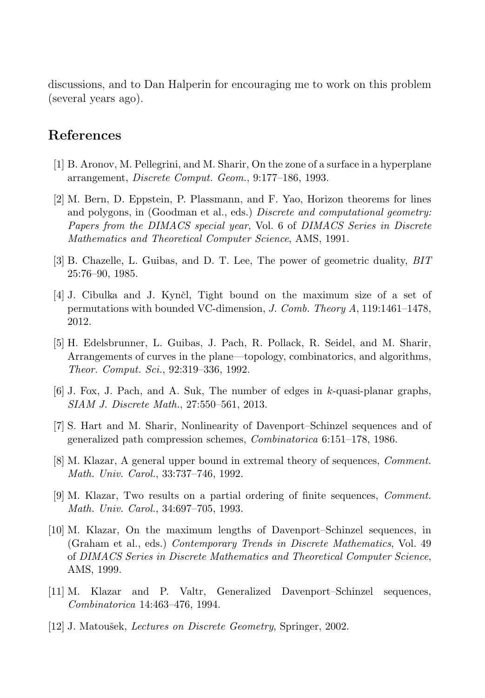discussions, and to Dan Halperin for encouraging me to work on this problem (several years ago).

## **References**

- [1] B. Aronov, M. Pellegrini, and M. Sharir, On the zone of a surface in a hyperplane arrangement, *Discrete Comput. Geom.*, 9:177–186, 1993.
- [2] M. Bern, D. Eppstein, P. Plassmann, and F. Yao, Horizon theorems for lines and polygons, in (Goodman et al., eds.) *Discrete and computational geometry: Papers from the DIMACS special year*, Vol. 6 of *DIMACS Series in Discrete Mathematics and Theoretical Computer Science*, AMS, 1991.
- [3] B. Chazelle, L. Guibas, and D. T. Lee, The power of geometric duality, *BIT* 25:76–90, 1985.
- [4] J. Cibulka and J. Kynčl, Tight bound on the maximum size of a set of permutations with bounded VC-dimension, *J. Comb. Theory A*, 119:1461–1478, 2012.
- [5] H. Edelsbrunner, L. Guibas, J. Pach, R. Pollack, R. Seidel, and M. Sharir, Arrangements of curves in the plane—topology, combinatorics, and algorithms, *Theor. Comput. Sci.*, 92:319–336, 1992.
- $[6]$  J. Fox, J. Pach, and A. Suk, The number of edges in k-quasi-planar graphs, *SIAM J. Discrete Math.*, 27:550–561, 2013.
- [7] S. Hart and M. Sharir, Nonlinearity of Davenport–Schinzel sequences and of generalized path compression schemes, *Combinatorica* 6:151–178, 1986.
- [8] M. Klazar, A general upper bound in extremal theory of sequences, *Comment. Math. Univ. Carol.*, 33:737–746, 1992.
- [9] M. Klazar, Two results on a partial ordering of finite sequences, *Comment. Math. Univ. Carol.*, 34:697–705, 1993.
- [10] M. Klazar, On the maximum lengths of Davenport–Schinzel sequences, in (Graham et al., eds.) *Contemporary Trends in Discrete Mathematics*, Vol. 49 of *DIMACS Series in Discrete Mathematics and Theoretical Computer Science*, AMS, 1999.
- [11] M. Klazar and P. Valtr, Generalized Davenport–Schinzel sequences, *Combinatorica* 14:463–476, 1994.
- [12] J. Matoušek, *Lectures on Discrete Geometry*, Springer, 2002.